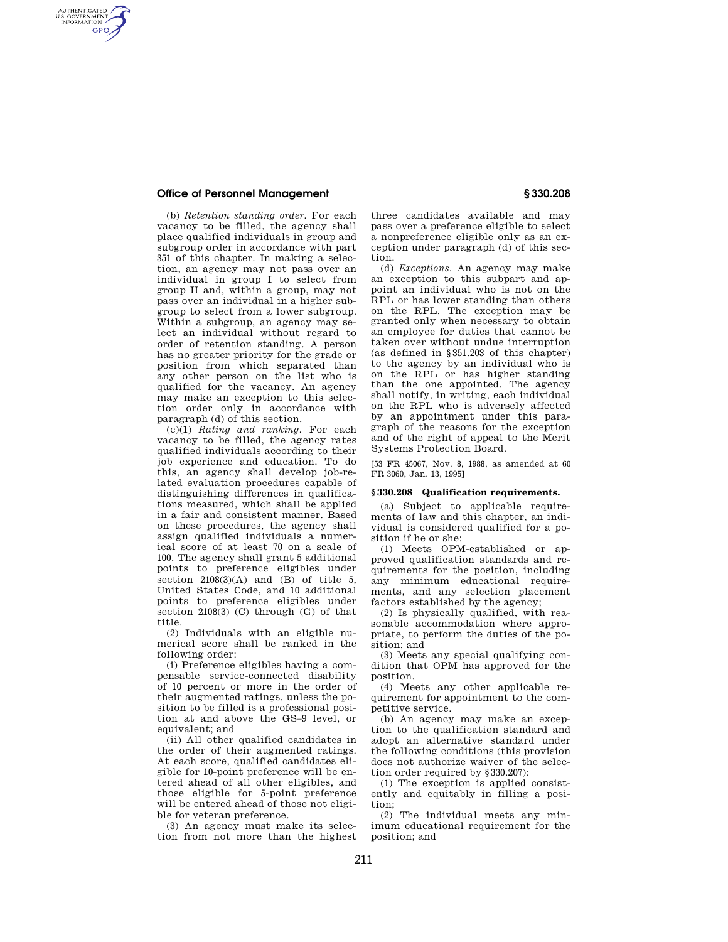# **Office of Personnel Management § 330.208**

AUTHENTICATED<br>U.S. GOVERNMENT<br>INFORMATION **GPO** 

> (b) *Retention standing order.* For each vacancy to be filled, the agency shall place qualified individuals in group and subgroup order in accordance with part 351 of this chapter. In making a selection, an agency may not pass over an individual in group I to select from group II and, within a group, may not pass over an individual in a higher subgroup to select from a lower subgroup. Within a subgroup, an agency may select an individual without regard to order of retention standing. A person has no greater priority for the grade or position from which separated than any other person on the list who is qualified for the vacancy. An agency may make an exception to this selection order only in accordance with paragraph (d) of this section.

> (c)(1) *Rating and ranking.* For each vacancy to be filled, the agency rates qualified individuals according to their job experience and education. To do this, an agency shall develop job-related evaluation procedures capable of distinguishing differences in qualifications measured, which shall be applied in a fair and consistent manner. Based on these procedures, the agency shall assign qualified individuals a numerical score of at least 70 on a scale of 100. The agency shall grant 5 additional points to preference eligibles under section  $2108(3)(A)$  and  $(B)$  of title 5, United States Code, and 10 additional points to preference eligibles under section 2108(3) (C) through (G) of that title.

> (2) Individuals with an eligible numerical score shall be ranked in the following order:

> (i) Preference eligibles having a compensable service-connected disability of 10 percent or more in the order of their augmented ratings, unless the position to be filled is a professional position at and above the GS–9 level, or equivalent; and

> (ii) All other qualified candidates in the order of their augmented ratings. At each score, qualified candidates eligible for 10-point preference will be entered ahead of all other eligibles, and those eligible for 5-point preference will be entered ahead of those not eligible for veteran preference.

> (3) An agency must make its selection from not more than the highest

three candidates available and may pass over a preference eligible to select a nonpreference eligible only as an exception under paragraph (d) of this section.

(d) *Exceptions.* An agency may make an exception to this subpart and appoint an individual who is not on the RPL or has lower standing than others on the RPL. The exception may be granted only when necessary to obtain an employee for duties that cannot be taken over without undue interruption (as defined in §351.203 of this chapter) to the agency by an individual who is on the RPL or has higher standing than the one appointed. The agency shall notify, in writing, each individual on the RPL who is adversely affected by an appointment under this paragraph of the reasons for the exception and of the right of appeal to the Merit Systems Protection Board.

[53 FR 45067, Nov. 8, 1988, as amended at 60 FR 3060, Jan. 13, 1995]

#### **§ 330.208 Qualification requirements.**

(a) Subject to applicable requirements of law and this chapter, an individual is considered qualified for a position if he or she:

(1) Meets OPM-established or approved qualification standards and requirements for the position, including any minimum educational requirements, and any selection placement factors established by the agency;

(2) Is physically qualified, with reasonable accommodation where appropriate, to perform the duties of the position; and

(3) Meets any special qualifying condition that OPM has approved for the position.

(4) Meets any other applicable requirement for appointment to the competitive service.

(b) An agency may make an exception to the qualification standard and adopt an alternative standard under the following conditions (this provision does not authorize waiver of the selection order required by §330.207):

(1) The exception is applied consistently and equitably in filling a position;

(2) The individual meets any minimum educational requirement for the position; and